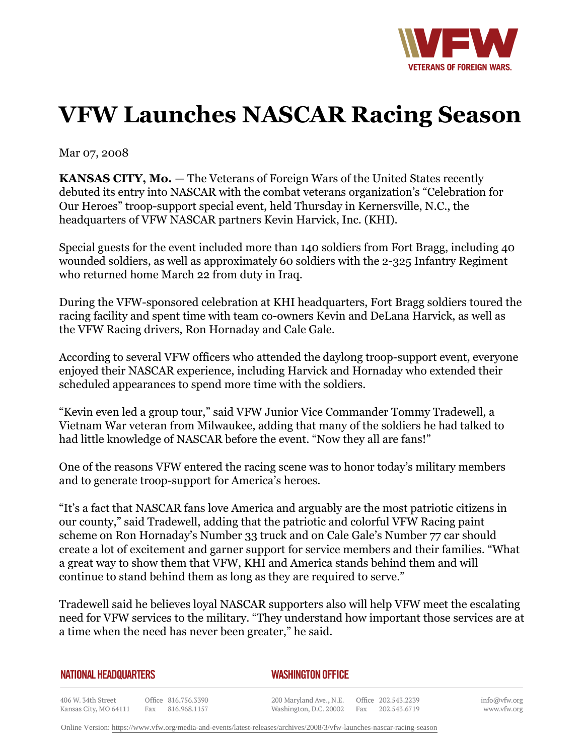

## **VFW Launches NASCAR Racing Season**

Mar 07, 2008

Kansas City, MO 64111

**KANSAS CITY, Mo.** — The Veterans of Foreign Wars of the United States recently debuted its entry into NASCAR with the combat veterans organization's "Celebration for Our Heroes" troop-support special event, held Thursday in Kernersville, N.C., the headquarters of VFW NASCAR partners Kevin Harvick, Inc. (KHI).

Special guests for the event included more than 140 soldiers from Fort Bragg, including 40 wounded soldiers, as well as approximately 60 soldiers with the 2-325 Infantry Regiment who returned home March 22 from duty in Iraq.

During the VFW-sponsored celebration at KHI headquarters, Fort Bragg soldiers toured the racing facility and spent time with team co-owners Kevin and DeLana Harvick, as well as the VFW Racing drivers, Ron Hornaday and Cale Gale.

According to several VFW officers who attended the daylong troop-support event, everyone enjoyed their NASCAR experience, including Harvick and Hornaday who extended their scheduled appearances to spend more time with the soldiers.

"Kevin even led a group tour," said VFW Junior Vice Commander Tommy Tradewell, a Vietnam War veteran from Milwaukee, adding that many of the soldiers he had talked to had little knowledge of NASCAR before the event. "Now they all are fans!"

One of the reasons VFW entered the racing scene was to honor today's military members and to generate troop-support for America's heroes.

"It's a fact that NASCAR fans love America and arguably are the most patriotic citizens in our county," said Tradewell, adding that the patriotic and colorful VFW Racing paint scheme on Ron Hornaday's Number 33 truck and on Cale Gale's Number 77 car should create a lot of excitement and garner support for service members and their families. "What a great way to show them that VFW, KHI and America stands behind them and will continue to stand behind them as long as they are required to serve."

Tradewell said he believes loyal NASCAR supporters also will help VFW meet the escalating need for VFW services to the military. "They understand how important those services are at a time when the need has never been greater," he said.

Washington, D.C. 20002 Fax 202.543.6719

| NATIONAL HEADQUARTERS |                     | <b>WASHINGTON OFFICE</b>                       |  |
|-----------------------|---------------------|------------------------------------------------|--|
| 406 W. 34th Street    | Office 816.756.3390 | 200 Maryland Ave., N.E.<br>Office 202.543.2239 |  |

info@vfw.org www.vfw.org

Online Version:<https://www.vfw.org/media-and-events/latest-releases/archives/2008/3/vfw-launches-nascar-racing-season>

Fax 816.968.1157